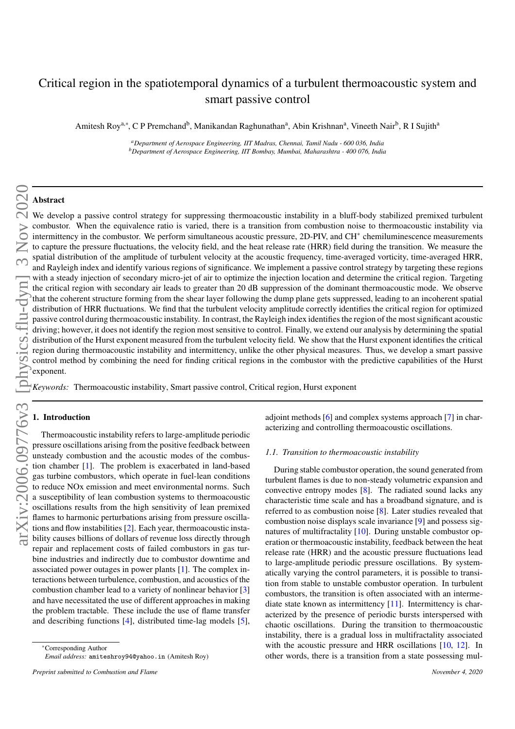# Critical region in the spatiotemporal dynamics of a turbulent thermoacoustic system and smart passive control

Amitesh Roy<sup>a,∗</sup>, C P Premchand<sup>b</sup>, Manikandan Raghunathan<sup>a</sup>, Abin Krishnan<sup>a</sup>, Vineeth Nair<sup>b</sup>, R I Sujith<sup>a</sup>

*<sup>a</sup>Department of Aerospace Engineering, IIT Madras, Chennai, Tamil Nadu - 600 036, India <sup>b</sup>Department of Aerospace Engineering, IIT Bombay, Mumbai, Maharashtra - 400 076, India*

# Abstract

We develop a passive control strategy for suppressing thermoacoustic instability in a bluff-body stabilized premixed turbulent combustor. When the equivalence ratio is varied, there is a transition from combustion noise to thermoacoustic instability via intermittency in the combustor. We perform simultaneous acoustic pressure, 2D-PIV, and CH<sup>∗</sup> chemiluminescence measurements to capture the pressure fluctuations, the velocity field, and the heat release rate (HRR) field during the transition. We measure the spatial distribution of the amplitude of turbulent velocity at the acoustic frequency, time-averaged vorticity, time-averaged HRR, and Rayleigh index and identify various regions of significance. We implement a passive control strategy by targeting these regions with a steady injection of secondary micro-jet of air to optimize the injection location and determine the critical region. Targeting the critical region with secondary air leads to greater than 20 dB suppression of the dominant thermoacoustic mode. We observe that the coherent structure forming from the shear layer following the dump plane gets suppressed, leading to an incoherent spatial distribution of HRR fluctuations. We find that the turbulent velocity amplitude correctly identifies the critical region for optimized passive control during thermoacoustic instability. In contrast, the Rayleigh index identifies the region of the most significant acoustic driving; however, it does not identify the region most sensitive to control. Finally, we extend our analysis by determining the spatial distribution of the Hurst exponent measured from the turbulent velocity field. We show that the Hurst exponent identifies the critical region during thermoacoustic instability and intermittency, unlike the other physical measures. Thus, we develop a smart passive control method by combining the need for finding critical regions in the combustor with the predictive capabilities of the Hurst exponent.

*Keywords:* Thermoacoustic instability, Smart passive control, Critical region, Hurst exponent

# 1. Introduction

Thermoacoustic instability refers to large-amplitude periodic pressure oscillations arising from the positive feedback between unsteady combustion and the acoustic modes of the combustion chamber [1]. The problem is exacerbated in land-based gas turbine combustors, which operate in fuel-lean conditions to reduce NOx emission and meet environmental norms. Such a susceptibility of lean combustion systems to thermoacoustic oscillations results from the high sensitivity of lean premixed flames to harmonic perturbations arising from pressure oscillations and flow instabilities [2]. Each year, thermoacoustic instability causes billions of dollars of revenue loss directly through repair and replacement costs of failed combustors in gas turbine industries and indirectly due to combustor downtime and associated power outages in power plants [1]. The complex interactions between turbulence, combustion, and acoustics of the combustion chamber lead to a variety of nonlinear behavior [3] and have necessitated the use of different approaches in making the problem tractable. These include the use of flame transfer and describing functions [4], distributed time-lag models [5], adjoint methods [6] and complex systems approach [7] in characterizing and controlling thermoacoustic oscillations.

## *1.1. Transition to thermoacoustic instability*

During stable combustor operation, the sound generated from turbulent flames is due to non-steady volumetric expansion and convective entropy modes [8]. The radiated sound lacks any characteristic time scale and has a broadband signature, and is referred to as combustion noise [8]. Later studies revealed that combustion noise displays scale invariance [9] and possess signatures of multifractality [10]. During unstable combustor operation or thermoacoustic instability, feedback between the heat release rate (HRR) and the acoustic pressure fluctuations lead to large-amplitude periodic pressure oscillations. By systematically varying the control parameters, it is possible to transition from stable to unstable combustor operation. In turbulent combustors, the transition is often associated with an intermediate state known as intermittency [11]. Intermittency is characterized by the presence of periodic bursts interspersed with chaotic oscillations. During the transition to thermoacoustic instability, there is a gradual loss in multifractality associated with the acoustic pressure and HRR oscillations [10, 12]. In other words, there is a transition from a state possessing mul-

<sup>∗</sup>Corresponding Author *Email address:* amiteshroy94@yahoo.in (Amitesh Roy)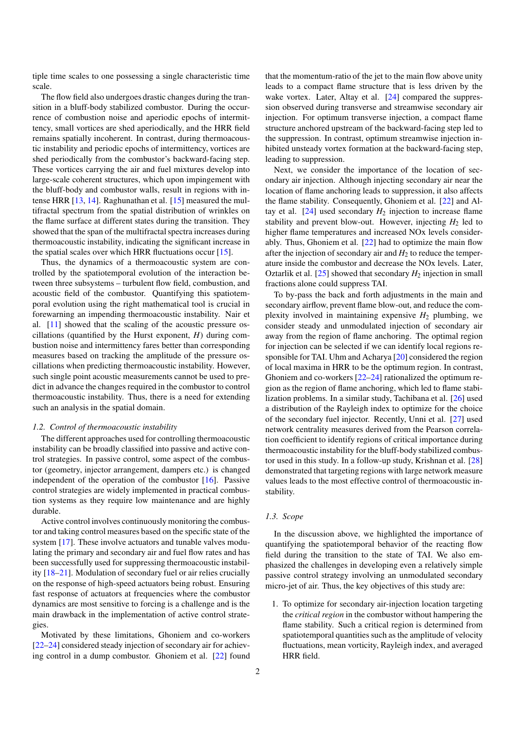tiple time scales to one possessing a single characteristic time scale.

The flow field also undergoes drastic changes during the transition in a bluff-body stabilized combustor. During the occurrence of combustion noise and aperiodic epochs of intermittency, small vortices are shed aperiodically, and the HRR field remains spatially incoherent. In contrast, during thermoacoustic instability and periodic epochs of intermittency, vortices are shed periodically from the combustor's backward-facing step. These vortices carrying the air and fuel mixtures develop into large-scale coherent structures, which upon impingement with the bluff-body and combustor walls, result in regions with intense HRR [13, 14]. Raghunathan et al. [15] measured the multifractal spectrum from the spatial distribution of wrinkles on the flame surface at different states during the transition. They showed that the span of the multifractal spectra increases during thermoacoustic instability, indicating the significant increase in the spatial scales over which HRR fluctuations occur [15].

Thus, the dynamics of a thermoacoustic system are controlled by the spatiotemporal evolution of the interaction between three subsystems – turbulent flow field, combustion, and acoustic field of the combustor. Quantifying this spatiotemporal evolution using the right mathematical tool is crucial in forewarning an impending thermoacoustic instability. Nair et al. [11] showed that the scaling of the acoustic pressure oscillations (quantified by the Hurst exponent,  $H$ ) during combustion noise and intermittency fares better than corresponding measures based on tracking the amplitude of the pressure oscillations when predicting thermoacoustic instability. However, such single point acoustic measurements cannot be used to predict in advance the changes required in the combustor to control thermoacoustic instability. Thus, there is a need for extending such an analysis in the spatial domain.

#### *1.2. Control of thermoacoustic instability*

The different approaches used for controlling thermoacoustic instability can be broadly classified into passive and active control strategies. In passive control, some aspect of the combustor (geometry, injector arrangement, dampers etc.) is changed independent of the operation of the combustor [16]. Passive control strategies are widely implemented in practical combustion systems as they require low maintenance and are highly durable.

Active control involves continuously monitoring the combustor and taking control measures based on the specific state of the system [17]. These involve actuators and tunable valves modulating the primary and secondary air and fuel flow rates and has been successfully used for suppressing thermoacoustic instability [18–21]. Modulation of secondary fuel or air relies crucially on the response of high-speed actuators being robust. Ensuring fast response of actuators at frequencies where the combustor dynamics are most sensitive to forcing is a challenge and is the main drawback in the implementation of active control strategies.

Motivated by these limitations, Ghoniem and co-workers [22–24] considered steady injection of secondary air for achieving control in a dump combustor. Ghoniem et al. [22] found

that the momentum-ratio of the jet to the main flow above unity leads to a compact flame structure that is less driven by the wake vortex. Later, Altay et al. [24] compared the suppression observed during transverse and streamwise secondary air injection. For optimum transverse injection, a compact flame structure anchored upstream of the backward-facing step led to the suppression. In contrast, optimum streamwise injection inhibited unsteady vortex formation at the backward-facing step, leading to suppression.

Next, we consider the importance of the location of secondary air injection. Although injecting secondary air near the location of flame anchoring leads to suppression, it also affects the flame stability. Consequently, Ghoniem et al. [22] and Altay et al.  $[24]$  used secondary  $H_2$  injection to increase flame stability and prevent blow-out. However, injecting  $H_2$  led to higher flame temperatures and increased NOx levels considerably. Thus, Ghoniem et al. [22] had to optimize the main flow after the injection of secondary air and  $H_2$  to reduce the temperature inside the combustor and decrease the NOx levels. Later, Oztarlik et al.  $[25]$  showed that secondary  $H_2$  injection in small fractions alone could suppress TAI.

To by-pass the back and forth adjustments in the main and secondary airflow, prevent flame blow-out, and reduce the complexity involved in maintaining expensive  $H_2$  plumbing, we consider steady and unmodulated injection of secondary air away from the region of flame anchoring. The optimal region for injection can be selected if we can identify local regions responsible for TAI. Uhm and Acharya [20] considered the region of local maxima in HRR to be the optimum region. In contrast, Ghoniem and co-workers [22–24] rationalized the optimum region as the region of flame anchoring, which led to flame stabilization problems. In a similar study, Tachibana et al. [26] used a distribution of the Rayleigh index to optimize for the choice of the secondary fuel injector. Recently, Unni et al. [27] used network centrality measures derived from the Pearson correlation coefficient to identify regions of critical importance during thermoacoustic instability for the bluff-body stabilized combustor used in this study. In a follow-up study, Krishnan et al. [28] demonstrated that targeting regions with large network measure values leads to the most effective control of thermoacoustic instability.

# *1.3. Scope*

In the discussion above, we highlighted the importance of quantifying the spatiotemporal behavior of the reacting flow field during the transition to the state of TAI. We also emphasized the challenges in developing even a relatively simple passive control strategy involving an unmodulated secondary micro-jet of air. Thus, the key objectives of this study are:

1. To optimize for secondary air-injection location targeting the *critical region* in the combustor without hampering the flame stability. Such a critical region is determined from spatiotemporal quantities such as the amplitude of velocity fluctuations, mean vorticity, Rayleigh index, and averaged HRR field.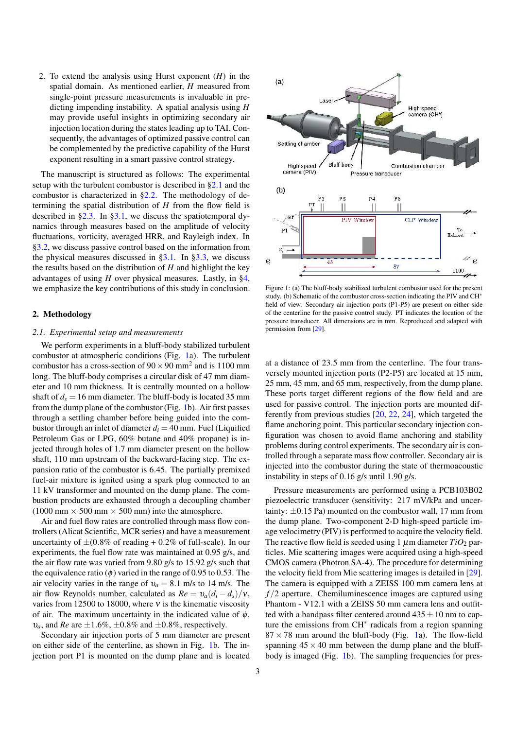2. To extend the analysis using Hurst exponent (*H*) in the spatial domain. As mentioned earlier, *H* measured from single-point pressure measurements is invaluable in predicting impending instability. A spatial analysis using *H* may provide useful insights in optimizing secondary air injection location during the states leading up to TAI. Consequently, the advantages of optimized passive control can be complemented by the predictive capability of the Hurst exponent resulting in a smart passive control strategy.

The manuscript is structured as follows: The experimental setup with the turbulent combustor is described in §2.1 and the combustor is characterized in §2.2. The methodology of determining the spatial distribution of *H* from the flow field is described in §2.3. In §3.1, we discuss the spatiotemporal dynamics through measures based on the amplitude of velocity fluctuations, vorticity, averaged HRR, and Rayleigh index. In §3.2, we discuss passive control based on the information from the physical measures discussed in  $\S 3.1$ . In  $\S 3.3$ , we discuss the results based on the distribution of *H* and highlight the key advantages of using *H* over physical measures. Lastly, in §4, we emphasize the key contributions of this study in conclusion.

## 2. Methodology

#### *2.1. Experimental setup and measurements*

We perform experiments in a bluff-body stabilized turbulent combustor at atmospheric conditions (Fig. 1a). The turbulent combustor has a cross-section of  $90 \times 90$  mm<sup>2</sup> and is 1100 mm long. The bluff-body comprises a circular disk of 47 mm diameter and 10 mm thickness. It is centrally mounted on a hollow shaft of  $d_s = 16$  mm diameter. The bluff-body is located 35 mm from the dump plane of the combustor (Fig. 1b). Air first passes through a settling chamber before being guided into the combustor through an inlet of diameter  $d_i = 40$  mm. Fuel (Liquified Petroleum Gas or LPG, 60% butane and 40% propane) is injected through holes of 1.7 mm diameter present on the hollow shaft, 110 mm upstream of the backward-facing step. The expansion ratio of the combustor is 6.45. The partially premixed fuel-air mixture is ignited using a spark plug connected to an 11 kV transformer and mounted on the dump plane. The combustion products are exhausted through a decoupling chamber (1000 mm  $\times$  500 mm  $\times$  500 mm) into the atmosphere.

Air and fuel flow rates are controlled through mass flow controllers (Alicat Scientific, MCR series) and have a measurement uncertainty of  $\pm (0.8\%$  of reading  $+0.2\%$  of full-scale). In our experiments, the fuel flow rate was maintained at 0.95 g/s, and the air flow rate was varied from 9.80 g/s to 15.92 g/s such that the equivalence ratio ( $\phi$ ) varied in the range of 0.95 to 0.53. The air velocity varies in the range of  $v_a = 8.1$  m/s to 14 m/s. The air flow Reynolds number, calculated as  $Re = v_a(d_i - d_s)/v$ , varies from 12500 to 18000, where  $v$  is the kinematic viscosity of air. The maximum uncertainty in the indicated value of  $\phi$ ,  $v_a$ , and *Re* are  $\pm 1.6\%, \pm 0.8\%$  and  $\pm 0.8\%$ , respectively.

Secondary air injection ports of 5 mm diameter are present on either side of the centerline, as shown in Fig. 1b. The injection port P1 is mounted on the dump plane and is located



Figure 1: (a) The bluff-body stabilized turbulent combustor used for the present study. (b) Schematic of the combustor cross-section indicating the PIV and CH<sup>∗</sup> field of view. Secondary air injection ports (P1-P5) are present on either side of the centerline for the passive control study. PT indicates the location of the pressure transducer. All dimensions are in mm. Reproduced and adapted with permission from [29].

at a distance of 23.5 mm from the centerline. The four transversely mounted injection ports (P2-P5) are located at 15 mm, 25 mm, 45 mm, and 65 mm, respectively, from the dump plane. These ports target different regions of the flow field and are used for passive control. The injection ports are mounted differently from previous studies [20, 22, 24], which targeted the flame anchoring point. This particular secondary injection configuration was chosen to avoid flame anchoring and stability problems during control experiments. The secondary air is controlled through a separate mass flow controller. Secondary air is injected into the combustor during the state of thermoacoustic instability in steps of 0.16 g/s until 1.90 g/s.

Pressure measurements are performed using a PCB103B02 piezoelectric transducer (sensitivity: 217 mV/kPa and uncertainty:  $\pm 0.15$  Pa) mounted on the combustor wall, 17 mm from the dump plane. Two-component 2-D high-speed particle image velocimetry (PIV) is performed to acquire the velocity field. The reactive flow field is seeded using 1  $\mu$ m diameter  $TiO<sub>2</sub>$  particles. Mie scattering images were acquired using a high-speed CMOS camera (Photron SA-4). The procedure for determining the velocity field from Mie scattering images is detailed in [29]. The camera is equipped with a ZEISS 100 mm camera lens at *f* /2 aperture. Chemiluminescence images are captured using Phantom - V12.1 with a ZEISS 50 mm camera lens and outfitted with a bandpass filter centered around  $435 \pm 10$  nm to capture the emissions from CH<sup>∗</sup> radicals from a region spanning  $87 \times 78$  mm around the bluff-body (Fig. 1a). The flow-field spanning  $45 \times 40$  mm between the dump plane and the bluffbody is imaged (Fig. 1b). The sampling frequencies for pres-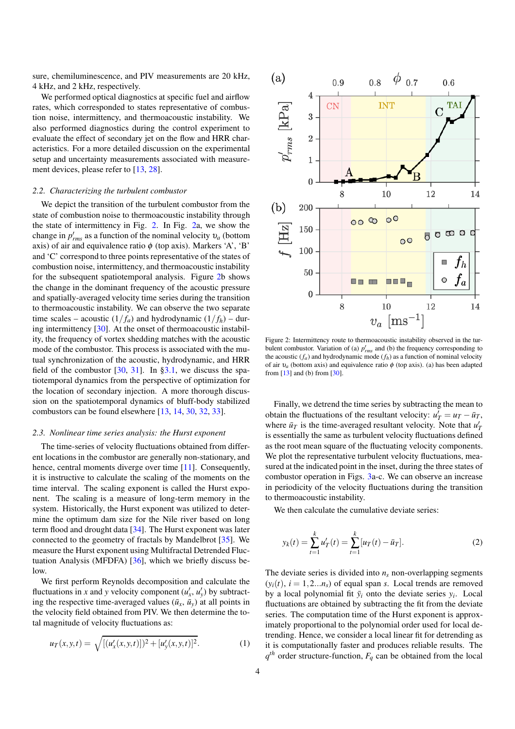sure, chemiluminescence, and PIV measurements are 20 kHz, 4 kHz, and 2 kHz, respectively.

We performed optical diagnostics at specific fuel and airflow rates, which corresponded to states representative of combustion noise, intermittency, and thermoacoustic instability. We also performed diagnostics during the control experiment to evaluate the effect of secondary jet on the flow and HRR characteristics. For a more detailed discussion on the experimental setup and uncertainty measurements associated with measurement devices, please refer to [13, 28].

#### *2.2. Characterizing the turbulent combustor*

We depict the transition of the turbulent combustor from the state of combustion noise to thermoacoustic instability through the state of intermittency in Fig. 2. In Fig. 2a, we show the change in  $p'_{rms}$  as a function of the nominal velocity  $v_a$  (bottom axis) of air and equivalence ratio  $\phi$  (top axis). Markers 'A', 'B' and 'C' correspond to three points representative of the states of combustion noise, intermittency, and thermoacoustic instability for the subsequent spatiotemporal analysis. Figure 2b shows the change in the dominant frequency of the acoustic pressure and spatially-averaged velocity time series during the transition to thermoacoustic instability. We can observe the two separate time scales – acoustic  $(1/f_a)$  and hydrodynamic  $(1/f_h)$  – during intermittency [30]. At the onset of thermoacoustic instability, the frequency of vortex shedding matches with the acoustic mode of the combustor. This process is associated with the mutual synchronization of the acoustic, hydrodynamic, and HRR field of the combustor  $[30, 31]$ . In §3.1, we discuss the spatiotemporal dynamics from the perspective of optimization for the location of secondary injection. A more thorough discussion on the spatiotemporal dynamics of bluff-body stabilized combustors can be found elsewhere [13, 14, 30, 32, 33].

# *2.3. Nonlinear time series analysis: the Hurst exponent*

The time-series of velocity fluctuations obtained from different locations in the combustor are generally non-stationary, and hence, central moments diverge over time [11]. Consequently, it is instructive to calculate the scaling of the moments on the time interval. The scaling exponent is called the Hurst exponent. The scaling is a measure of long-term memory in the system. Historically, the Hurst exponent was utilized to determine the optimum dam size for the Nile river based on long term flood and drought data [34]. The Hurst exponent was later connected to the geometry of fractals by Mandelbrot [35]. We measure the Hurst exponent using Multifractal Detrended Fluctuation Analysis (MFDFA) [36], which we briefly discuss below.

We first perform Reynolds decomposition and calculate the fluctuations in *x* and *y* velocity component  $(u'_x, u'_y)$  by subtracting the respective time-averaged values  $(\bar{u}_x, \bar{u}_y)$  at all points in the velocity field obtained from PIV. We then determine the total magnitude of velocity fluctuations as:

$$
u_T(x, y, t) = \sqrt{[(u'_x(x, y, t)])^2 + [u'_y(x, y, t)]^2}.
$$
 (1)



Figure 2: Intermittency route to thermoacoustic instability observed in the turbulent combustor. Variation of (a)  $p'_{rms}$  and (b) the frequency corresponding to the acoustic  $(f_a)$  and hydrodynamic mode  $(f_h)$  as a function of nominal velocity of air  $v_a$  (bottom axis) and equivalence ratio  $\phi$  (top axis). (a) has been adapted from [13] and (b) from [30].

Finally, we detrend the time series by subtracting the mean to obtain the fluctuations of the resultant velocity:  $u'_T = u_T - \bar{u}_T$ , where  $\bar{u}_T$  is the time-averaged resultant velocity. Note that  $u'_T$ is essentially the same as turbulent velocity fluctuations defined as the root mean square of the fluctuating velocity components. We plot the representative turbulent velocity fluctuations, measured at the indicated point in the inset, during the three states of combustor operation in Figs. 3a-c. We can observe an increase in periodicity of the velocity fluctuations during the transition to thermoacoustic instability.

We then calculate the cumulative deviate series:

$$
y_k(t) = \sum_{t=1}^k u'_T(t) = \sum_{t=1}^k [u_T(t) - \bar{u}_T].
$$
 (2)

The deviate series is divided into  $n<sub>s</sub>$  non-overlapping segments  $(y_i(t), i = 1, 2...n_s)$  of equal span *s*. Local trends are removed by a local polynomial fit  $\bar{y}_i$  onto the deviate series  $y_i$ . Local fluctuations are obtained by subtracting the fit from the deviate series. The computation time of the Hurst exponent is approximately proportional to the polynomial order used for local detrending. Hence, we consider a local linear fit for detrending as it is computationally faster and produces reliable results. The  $q^{th}$  order structure-function,  $F_q$  can be obtained from the local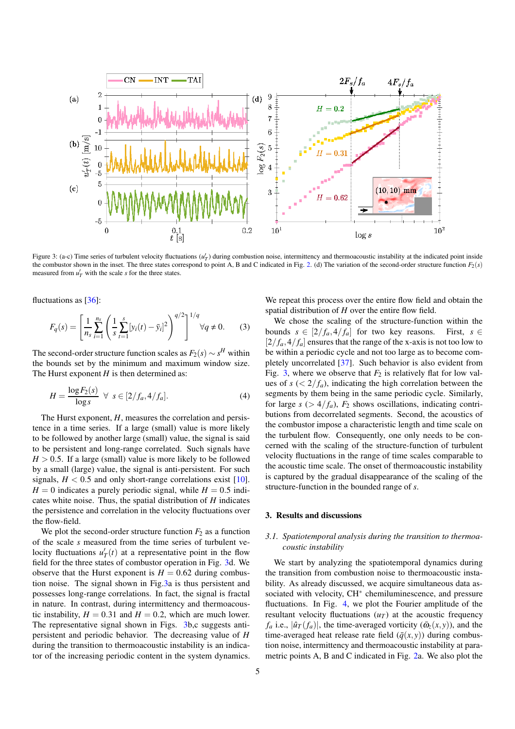

Figure 3: (a-c) Time series of turbulent velocity fluctuations  $(u'_T)$  during combustion noise, intermittency and thermoacoustic instability at the indicated point inside the combustor shown in the inset. The three states correspond to point A, B and C indicated in Fig. 2. (d) The variation of the second-order structure function  $F_2(s)$ measured from  $u'_T$  with the scale *s* for the three states.

fluctuations as [36]:

$$
F_q(s) = \left[\frac{1}{n_s} \sum_{i=1}^{n_s} \left(\frac{1}{s} \sum_{t=1}^s [y_i(t) - \bar{y}_i]^2\right)^{q/2}\right]^{1/q} \forall q \neq 0. \tag{3}
$$

The second-order structure function scales as  $F_2(s) \sim s^H$  within the bounds set by the minimum and maximum window size. The Hurst exponent  $H$  is then determined as:

$$
H = \frac{\log F_2(s)}{\log s} \ \ \forall \ \ s \in [2/f_a, 4/f_a]. \tag{4}
$$

The Hurst exponent, *H*, measures the correlation and persistence in a time series. If a large (small) value is more likely to be followed by another large (small) value, the signal is said to be persistent and long-range correlated. Such signals have  $H > 0.5$ . If a large (small) value is more likely to be followed by a small (large) value, the signal is anti-persistent. For such signals,  $H < 0.5$  and only short-range correlations exist [10].  $H = 0$  indicates a purely periodic signal, while  $H = 0.5$  indicates white noise. Thus, the spatial distribution of *H* indicates the persistence and correlation in the velocity fluctuations over the flow-field.

We plot the second-order structure function  $F_2$  as a function of the scale *s* measured from the time series of turbulent velocity fluctuations  $u'_T(t)$  at a representative point in the flow field for the three states of combustor operation in Fig. 3d. We observe that the Hurst exponent is  $H = 0.62$  during combustion noise. The signal shown in Fig.3a is thus persistent and possesses long-range correlations. In fact, the signal is fractal in nature. In contrast, during intermittency and thermoacoustic instability,  $H = 0.31$  and  $H = 0.2$ , which are much lower. The representative signal shown in Figs. 3b,c suggests antipersistent and periodic behavior. The decreasing value of *H* during the transition to thermoacoustic instability is an indicator of the increasing periodic content in the system dynamics.

We repeat this process over the entire flow field and obtain the spatial distribution of *H* over the entire flow field.

We chose the scaling of the structure-function within the bounds  $s \in [2/f_a, 4/f_a]$  for two key reasons. First,  $s \in$  $[2/f_a, 4/f_a]$  ensures that the range of the x-axis is not too low to be within a periodic cycle and not too large as to become completely uncorrelated [37]. Such behavior is also evident from Fig. 3, where we observe that  $F_2$  is relatively flat for low values of  $s \, \langle \, \langle 2/f_a \rangle$ , indicating the high correlation between the segments by them being in the same periodic cycle. Similarly, for large  $s$  ( $> 4/f_a$ ),  $F_2$  shows oscillations, indicating contributions from decorrelated segments. Second, the acoustics of the combustor impose a characteristic length and time scale on the turbulent flow. Consequently, one only needs to be concerned with the scaling of the structure-function of turbulent velocity fluctuations in the range of time scales comparable to the acoustic time scale. The onset of thermoacoustic instability is captured by the gradual disappearance of the scaling of the structure-function in the bounded range of *s*.

# 3. Results and discussions

# *3.1. Spatiotemporal analysis during the transition to thermoacoustic instability*

We start by analyzing the spatiotemporal dynamics during the transition from combustion noise to thermoacoustic instability. As already discussed, we acquire simultaneous data associated with velocity, CH<sup>∗</sup> chemiluminescence, and pressure fluctuations. In Fig. 4, we plot the Fourier amplitude of the resultant velocity fluctuations  $(u<sub>T</sub>)$  at the acoustic frequency *f*<sub>a</sub> i.e.,  $|\hat{u}_T(f_a)|$ , the time-averaged vorticity ( $\bar{\omega}_z(x, y)$ ), and the time-averaged heat release rate field  $(\bar{q}(x, y))$  during combustion noise, intermittency and thermoacoustic instability at parametric points A, B and C indicated in Fig. 2a. We also plot the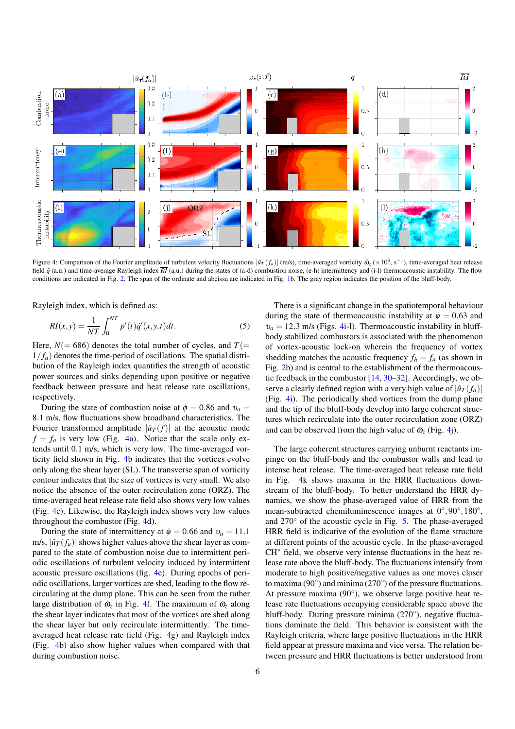

Figure 4: Comparison of the Fourier amplitude of turbulent velocity fluctuations  $|\hat{u}_T(f_a)|$  (m/s), time-averaged vorticity  $\bar{\omega}_z (\times 10^3, s^{-1})$ , time-averaged heat release field  $\bar{q}$  (a.u.) and time-average Rayleigh index  $\overline{RI}$  (a.u.) during the states of (a-d) combustion noise, (e-h) intermittency and (i-l) thermoacoustic instability. The flow conditions are indicated in Fig. 2. The span of the ordinate and abcissa are indicated in Fig. 1b. The gray region indicates the position of the bluff-body.

Rayleigh index, which is defined as:

$$
\overline{RI}(x, y) = \frac{1}{NT} \int_0^{NT} p'(t) \dot{q}'(x, y, t) dt.
$$
 (5)

Here,  $N(= 686)$  denotes the total number of cycles, and  $T(=$  $1/f_a$ ) denotes the time-period of oscillations. The spatial distribution of the Rayleigh index quantifies the strength of acoustic power sources and sinks depending upon positive or negative feedback between pressure and heat release rate oscillations, respectively.

During the state of combustion noise at  $\phi = 0.86$  and  $v_a =$ 8.1 m/s, flow fluctuations show broadband characteristics. The Fourier transformed amplitude  $|\hat{u}_T(f)|$  at the acoustic mode  $f = f_a$  is very low (Fig. 4a). Notice that the scale only extends until 0.1 m/s, which is very low. The time-averaged vorticity field shown in Fig. 4b indicates that the vortices evolve only along the shear layer (SL). The transverse span of vorticity contour indicates that the size of vortices is very small. We also notice the absence of the outer recirculation zone (ORZ). The time-averaged heat release rate field also shows very low values (Fig. 4c). Likewise, the Rayleigh index shows very low values throughout the combustor (Fig. 4d).

During the state of intermittency at  $\phi = 0.66$  and  $v_a = 11.1$ m/s,  $|\hat{u}_T(f_a)|$  shows higher values above the shear layer as compared to the state of combustion noise due to intermittent periodic oscillations of turbulent velocity induced by intermittent acoustic pressure oscillations (fig. 4e). During epochs of periodic oscillations, larger vortices are shed, leading to the flow recirculating at the dump plane. This can be seen from the rather large distribution of  $\bar{\omega}_z$  in Fig. 4f. The maximum of  $\bar{\omega}_z$  along the shear layer indicates that most of the vortices are shed along the shear layer but only recirculate intermittently. The timeaveraged heat release rate field (Fig. 4g) and Rayleigh index (Fig. 4b) also show higher values when compared with that during combustion noise.

There is a significant change in the spatiotemporal behaviour during the state of thermoacoustic instability at  $\phi = 0.63$  and  $v_a = 12.3$  m/s (Figs. 4i-1). Thermoacoustic instability in bluffbody stabilized combustors is associated with the phenomenon of vortex-acoustic lock-on wherein the frequency of vortex shedding matches the acoustic frequency  $f_h = f_a$  (as shown in Fig. 2b) and is central to the establishment of the thermoacoustic feedback in the combustor [14, 30–32]. Accordingly, we observe a clearly defined region with a very high value of  $|\hat{u}_T(f_a)|$ (Fig. 4i). The periodically shed vortices from the dump plane and the tip of the bluff-body develop into large coherent structures which recirculate into the outer recirculation zone (ORZ) and can be observed from the high value of  $\bar{\omega}_z$  (Fig. 4j).

The large coherent structures carrying unburnt reactants impinge on the bluff-body and the combustor walls and lead to intense heat release. The time-averaged heat release rate field in Fig. 4k shows maxima in the HRR fluctuations downstream of the bluff-body. To better understand the HRR dynamics, we show the phase-averaged value of HRR from the mean-subtracted chemiluminescence images at  $0^\circ, 90^\circ, 180^\circ$ , and 270◦ of the acoustic cycle in Fig. 5. The phase-averaged HRR field is indicative of the evolution of the flame structure at different points of the acoustic cycle. In the phase-averaged CH<sup>∗</sup> field, we observe very intense fluctuations in the heat release rate above the bluff-body. The fluctuations intensify from moderate to high positive/negative values as one moves closer to maxima ( $90^\circ$ ) and minima ( $270^\circ$ ) of the pressure fluctuations. At pressure maxima (90°), we observe large positive heat release rate fluctuations occupying considerable space above the bluff-body. During pressure minima (270°), negative fluctuations dominate the field. This behavior is consistent with the Rayleigh criteria, where large positive fluctuations in the HRR field appear at pressure maxima and vice versa. The relation between pressure and HRR fluctuations is better understood from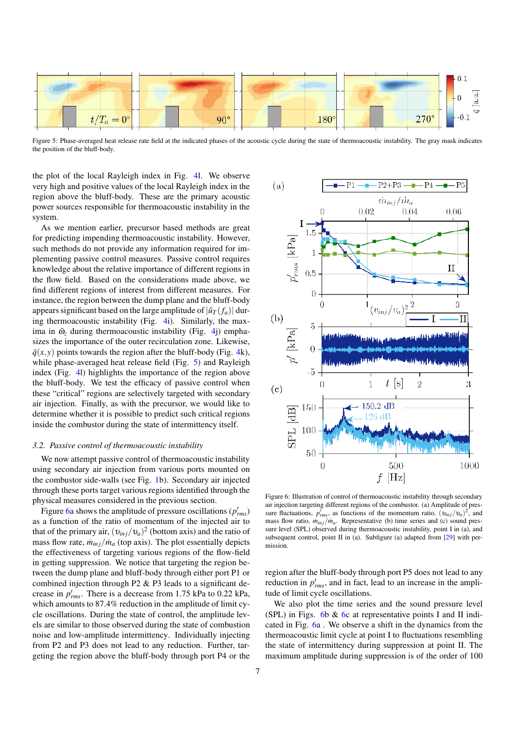

Figure 5: Phase-averaged heat release rate field at the indicated phases of the acoustic cycle during the state of thermoacoustic instability. The gray mask indicates the position of the bluff-body.

the plot of the local Rayleigh index in Fig. 4l. We observe very high and positive values of the local Rayleigh index in the region above the bluff-body. These are the primary acoustic power sources responsible for thermoacoustic instability in the system.

As we mention earlier, precursor based methods are great for predicting impending thermoacoustic instability. However, such methods do not provide any information required for implementing passive control measures. Passive control requires knowledge about the relative importance of different regions in the flow field. Based on the considerations made above, we find different regions of interest from different measures. For instance, the region between the dump plane and the bluff-body appears significant based on the large amplitude of  $|\hat{u}_T(f_a)|$  during thermoacoustic instability (Fig. 4i). Similarly, the maxima in  $\bar{\omega}_z$  during thermoacoustic instability (Fig. 4j) emphasizes the importance of the outer recirculation zone. Likewise,  $\bar{q}(x, y)$  points towards the region after the bluff-body (Fig. 4k), while phase-averaged heat release field (Fig. 5) and Rayleigh index (Fig. 4l) highlights the importance of the region above the bluff-body. We test the efficacy of passive control when these "critical" regions are selectively targeted with secondary air injection. Finally, as with the precursor, we would like to determine whether it is possible to predict such critical regions inside the combustor during the state of intermittency itself.

#### *3.2. Passive control of thermoacoustic instability*

We now attempt passive control of thermoacoustic instability using secondary air injection from various ports mounted on the combustor side-walls (see Fig. 1b). Secondary air injected through these ports target various regions identified through the physical measures considered in the previous section.

Figure 6a shows the amplitude of pressure oscillations ( $p'_{rms}$ ) as a function of the ratio of momentum of the injected air to that of the primary air,  $(v_{inj}/v_a)^2$  (bottom axis) and the ratio of mass flow rate,  $\dot{m}_{inj}/\dot{m}_a$  (top axis). The plot essentially depicts the effectiveness of targeting various regions of the flow-field in getting suppression. We notice that targeting the region between the dump plane and bluff-body through either port P1 or combined injection through P2 & P3 leads to a significant decrease in  $p'_{rms}$ . There is a decrease from 1.75 kPa to 0.22 kPa, which amounts to 87.4% reduction in the amplitude of limit cycle oscillations. During the state of control, the amplitude levels are similar to those observed during the state of combustion noise and low-amplitude intermittency. Individually injecting from P2 and P3 does not lead to any reduction. Further, targeting the region above the bluff-body through port P4 or the



Figure 6: Illustration of control of thermoacoustic instability through secondary air injection targeting different regions of the combustor. (a) Amplitude of pressure fluctuations,  $p'_{rms}$ , as functions of the momentum ratio,  $(v_{inj}/v_a)^2$ , and mass flow ratio,  $\frac{m_{inj}}{m_a}$ . Representative (b) time series and (c) sound pressure level (SPL) observed during thermoacoustic instability, point I in (a), and subsequent control, point II in (a). Subfigure (a) adapted from [29] with permission.

region after the bluff-body through port P5 does not lead to any reduction in  $p'_{rms}$ , and in fact, lead to an increase in the amplitude of limit cycle oscillations.

We also plot the time series and the sound pressure level (SPL) in Figs. 6b  $\&$  6c at representative points I and II indicated in Fig. 6a . We observe a shift in the dynamics from the thermoacoustic limit cycle at point I to fluctuations resembling the state of intermittency during suppression at point II. The maximum amplitude during suppression is of the order of 100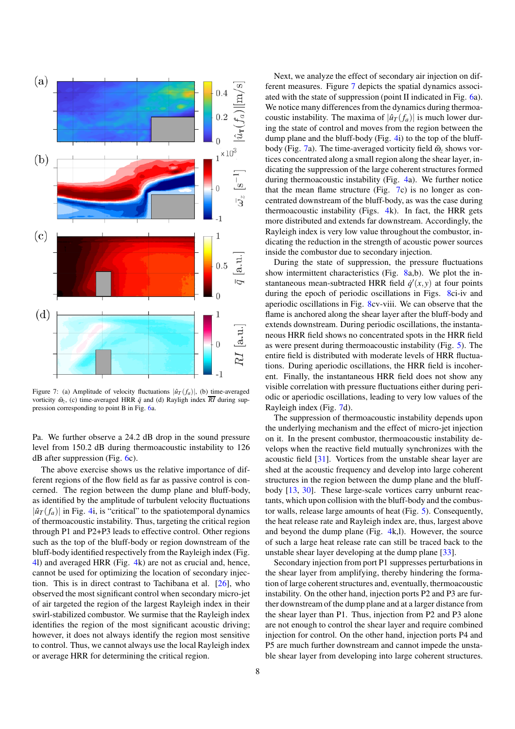

Figure 7: (a) Amplitude of velocity fluctuations  $|\hat{u}_T(f_a)|$ , (b) time-averaged vorticity  $\bar{\omega}_z$ , (c) time-averaged HRR  $\bar{q}$  and (d) Rayligh index  $\overline{RI}$  during suppression corresponding to point B in Fig. 6a.

Pa. We further observe a 24.2 dB drop in the sound pressure level from 150.2 dB during thermoacoustic instability to 126 dB after suppression (Fig. 6c).

The above exercise shows us the relative importance of different regions of the flow field as far as passive control is concerned. The region between the dump plane and bluff-body, as identified by the amplitude of turbulent velocity fluctuations  $|\hat{u}_T(f_a)|$  in Fig. 4i, is "critical" to the spatiotemporal dynamics of thermoacoustic instability. Thus, targeting the critical region through P1 and P2+P3 leads to effective control. Other regions such as the top of the bluff-body or region downstream of the bluff-body identified respectively from the Rayleigh index (Fig. 4l) and averaged HRR (Fig. 4k) are not as crucial and, hence, cannot be used for optimizing the location of secondary injection. This is in direct contrast to Tachibana et al. [26], who observed the most significant control when secondary micro-jet of air targeted the region of the largest Rayleigh index in their swirl-stabilized combustor. We surmise that the Rayleigh index identifies the region of the most significant acoustic driving; however, it does not always identify the region most sensitive to control. Thus, we cannot always use the local Rayleigh index or average HRR for determining the critical region.

Next, we analyze the effect of secondary air injection on different measures. Figure 7 depicts the spatial dynamics associated with the state of suppression (point II indicated in Fig. 6a). We notice many differences from the dynamics during thermoacoustic instability. The maxima of  $|\hat{u}_T(f_a)|$  is much lower during the state of control and moves from the region between the dump plane and the bluff-body (Fig. 4i) to the top of the bluffbody (Fig. 7a). The time-averaged vorticity field  $\bar{\omega}_z$  shows vortices concentrated along a small region along the shear layer, indicating the suppression of the large coherent structures formed during thermoacoustic instability (Fig. 4a). We further notice that the mean flame structure (Fig. 7c) is no longer as concentrated downstream of the bluff-body, as was the case during thermoacoustic instability (Figs. 4k). In fact, the HRR gets more distributed and extends far downstream. Accordingly, the Rayleigh index is very low value throughout the combustor, indicating the reduction in the strength of acoustic power sources inside the combustor due to secondary injection.

During the state of suppression, the pressure fluctuations show intermittent characteristics (Fig. 8a,b). We plot the instantaneous mean-subtracted HRR field  $\dot{q}'(x, y)$  at four points during the epoch of periodic oscillations in Figs. 8ci-iv and aperiodic oscillations in Fig. 8cv-viii. We can observe that the flame is anchored along the shear layer after the bluff-body and extends downstream. During periodic oscillations, the instantaneous HRR field shows no concentrated spots in the HRR field as were present during thermoacoustic instability (Fig. 5). The entire field is distributed with moderate levels of HRR fluctuations. During aperiodic oscillations, the HRR field is incoherent. Finally, the instantaneous HRR field does not show any visible correlation with pressure fluctuations either during periodic or aperiodic oscillations, leading to very low values of the Rayleigh index (Fig. 7d).

The suppression of thermoacoustic instability depends upon the underlying mechanism and the effect of micro-jet injection on it. In the present combustor, thermoacoustic instability develops when the reactive field mutually synchronizes with the acoustic field [31]. Vortices from the unstable shear layer are shed at the acoustic frequency and develop into large coherent structures in the region between the dump plane and the bluffbody [13, 30]. These large-scale vortices carry unburnt reactants, which upon collision with the bluff-body and the combustor walls, release large amounts of heat (Fig. 5). Consequently, the heat release rate and Rayleigh index are, thus, largest above and beyond the dump plane (Fig. 4k,l). However, the source of such a large heat release rate can still be traced back to the unstable shear layer developing at the dump plane [33].

Secondary injection from port P1 suppresses perturbations in the shear layer from amplifying, thereby hindering the formation of large coherent structures and, eventually, thermoacoustic instability. On the other hand, injection ports P2 and P3 are further downstream of the dump plane and at a larger distance from the shear layer than P1. Thus, injection from P2 and P3 alone are not enough to control the shear layer and require combined injection for control. On the other hand, injection ports P4 and P5 are much further downstream and cannot impede the unstable shear layer from developing into large coherent structures.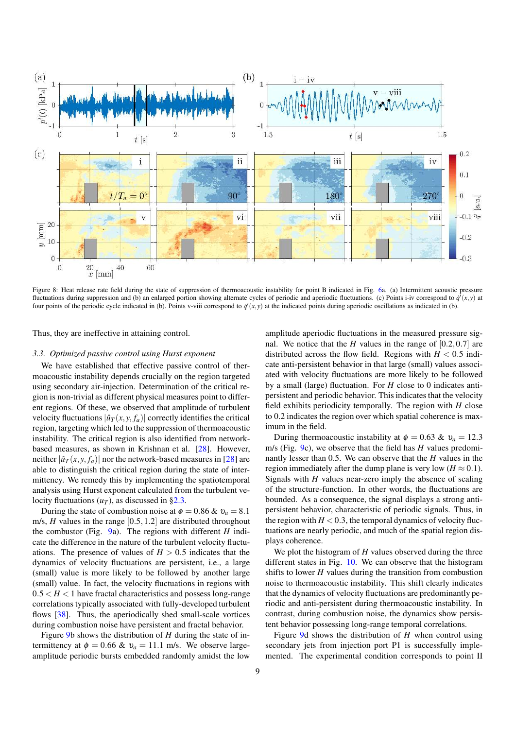

Figure 8: Heat release rate field during the state of suppression of thermoacoustic instability for point B indicated in Fig. 6a. (a) Intermittent acoustic pressure fluctuations during suppression and (b) an enlarged portion showing alternate cycles of periodic and aperiodic fluctuations. (c) Points i-iv correspond to  $\dot{q}'(x, y)$  at four points of the periodic cycle indicated in (b). Points v-viii correspond to  $\dot{q}'(x, y)$  at the indicated points during aperiodic oscillations as indicated in (b).

Thus, they are ineffective in attaining control.

#### *3.3. Optimized passive control using Hurst exponent*

We have established that effective passive control of thermoacoustic instability depends crucially on the region targeted using secondary air-injection. Determination of the critical region is non-trivial as different physical measures point to different regions. Of these, we observed that amplitude of turbulent velocity fluctuations  $|\hat{u}_T(x, y, f_a)|$  correctly identifies the critical region, targeting which led to the suppression of thermoacoustic instability. The critical region is also identified from networkbased measures, as shown in Krishnan et al. [28]. However, neither  $|\hat{u}_T(x, y, f_a)|$  nor the network-based measures in [28] are able to distinguish the critical region during the state of intermittency. We remedy this by implementing the spatiotemporal analysis using Hurst exponent calculated from the turbulent velocity fluctuations  $(u_T)$ , as discussed in §2.3.

During the state of combustion noise at  $\phi = 0.86 \& v_a = 8.1$ m/s, *H* values in the range [0.5,1.2] are distributed throughout the combustor (Fig. 9a). The regions with different *H* indicate the difference in the nature of the turbulent velocity fluctuations. The presence of values of  $H > 0.5$  indicates that the dynamics of velocity fluctuations are persistent, i.e., a large (small) value is more likely to be followed by another large (small) value. In fact, the velocity fluctuations in regions with  $0.5 < H < 1$  have fractal characteristics and possess long-range correlations typically associated with fully-developed turbulent flows [38]. Thus, the aperiodically shed small-scale vortices during combustion noise have persistent and fractal behavior.

Figure 9b shows the distribution of *H* during the state of intermittency at  $\phi = 0.66$  &  $v_a = 11.1$  m/s. We observe largeamplitude periodic bursts embedded randomly amidst the low

amplitude aperiodic fluctuations in the measured pressure signal. We notice that the *H* values in the range of  $[0.2, 0.7]$  are distributed across the flow field. Regions with  $H < 0.5$  indicate anti-persistent behavior in that large (small) values associated with velocity fluctuations are more likely to be followed by a small (large) fluctuation. For *H* close to 0 indicates antipersistent and periodic behavior. This indicates that the velocity field exhibits periodicity temporally. The region with *H* close to 0.2 indicates the region over which spatial coherence is maximum in the field.

During thermoacoustic instability at  $\phi = 0.63$  &  $v_a = 12.3$ m/s (Fig. 9c), we observe that the field has *H* values predominantly lesser than 0.5. We can observe that the *H* values in the region immediately after the dump plane is very low ( $H \approx 0.1$ ). Signals with *H* values near-zero imply the absence of scaling of the structure-function. In other words, the fluctuations are bounded. As a consequence, the signal displays a strong antipersistent behavior, characteristic of periodic signals. Thus, in the region with  $H < 0.3$ , the temporal dynamics of velocity fluctuations are nearly periodic, and much of the spatial region displays coherence.

We plot the histogram of *H* values observed during the three different states in Fig. 10. We can observe that the histogram shifts to lower *H* values during the transition from combustion noise to thermoacoustic instability. This shift clearly indicates that the dynamics of velocity fluctuations are predominantly periodic and anti-persistent during thermoacoustic instability. In contrast, during combustion noise, the dynamics show persistent behavior possessing long-range temporal correlations.

Figure 9d shows the distribution of *H* when control using secondary jets from injection port P1 is successfully implemented. The experimental condition corresponds to point II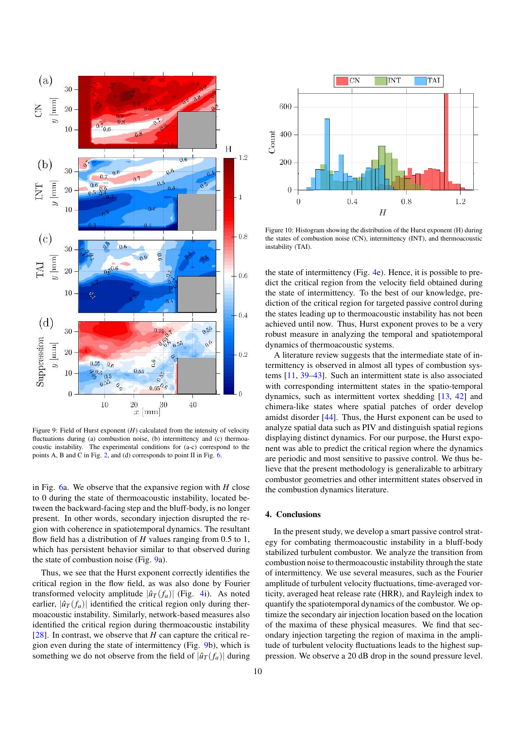

Figure 9: Field of Hurst exponent (*H*) calculated from the intensity of velocity fluctuations during (a) combustion noise, (b) intermittency and (c) thermoacoustic instability. The experimental conditions for (a-c) correspond to the points A, B and C in Fig. 2, and (d) corresponds to point II in Fig. 6.

in Fig. 6a. We observe that the expansive region with *H* close to 0 during the state of thermoacoustic instability, located between the backward-facing step and the bluff-body, is no longer present. In other words, secondary injection disrupted the region with coherence in spatiotemporal dynamics. The resultant flow field has a distribution of *H* values ranging from 0.5 to 1, which has persistent behavior similar to that observed during the state of combustion noise (Fig. 9a).

Thus, we see that the Hurst exponent correctly identifies the critical region in the flow field, as was also done by Fourier transformed velocity amplitude  $|\hat{u}_T(f_a)|$  (Fig. 4i). As noted earlier,  $|\hat{u}_T(f_a)|$  identified the critical region only during thermoacoustic instability. Similarly, network-based measures also identified the critical region during thermoacoustic instability [ $28$ ]. In contrast, we observe that *H* can capture the critical region even during the state of intermittency (Fig. 9b), which is something we do not observe from the field of  $|\hat{u}_T(f_a)|$  during



Figure 10: Histogram showing the distribution of the Hurst exponent (H) during the states of combustion noise (CN), intermittency (INT), and thermoacoustic instability (TAI).

the state of intermittency (Fig. 4e). Hence, it is possible to predict the critical region from the velocity field obtained during the state of intermittency. To the best of our knowledge, prediction of the critical region for targeted passive control during the states leading up to thermoacoustic instability has not been achieved until now. Thus, Hurst exponent proves to be a very robust measure in analyzing the temporal and spatiotemporal dynamics of thermoacoustic systems.

A literature review suggests that the intermediate state of intermittency is observed in almost all types of combustion systems [11, 39–43]. Such an intermittent state is also associated with corresponding intermittent states in the spatio-temporal dynamics, such as intermittent vortex shedding [13, 42] and chimera-like states where spatial patches of order develop amidst disorder [44]. Thus, the Hurst exponent can be used to analyze spatial data such as PIV and distinguish spatial regions displaying distinct dynamics. For our purpose, the Hurst exponent was able to predict the critical region where the dynamics are periodic and most sensitive to passive control. We thus believe that the present methodology is generalizable to arbitrary combustor geometries and other intermittent states observed in the combustion dynamics literature.

## 4. Conclusions

In the present study, we develop a smart passive control strategy for combating thermoacoustic instability in a bluff-body stabilized turbulent combustor. We analyze the transition from combustion noise to thermoacoustic instability through the state of intermittency. We use several measures, such as the Fourier amplitude of turbulent velocity fluctuations, time-averaged vorticity, averaged heat release rate (HRR), and Rayleigh index to quantify the spatiotemporal dynamics of the combustor. We optimize the secondary air injection location based on the location of the maxima of these physical measures. We find that secondary injection targeting the region of maxima in the amplitude of turbulent velocity fluctuations leads to the highest suppression. We observe a 20 dB drop in the sound pressure level.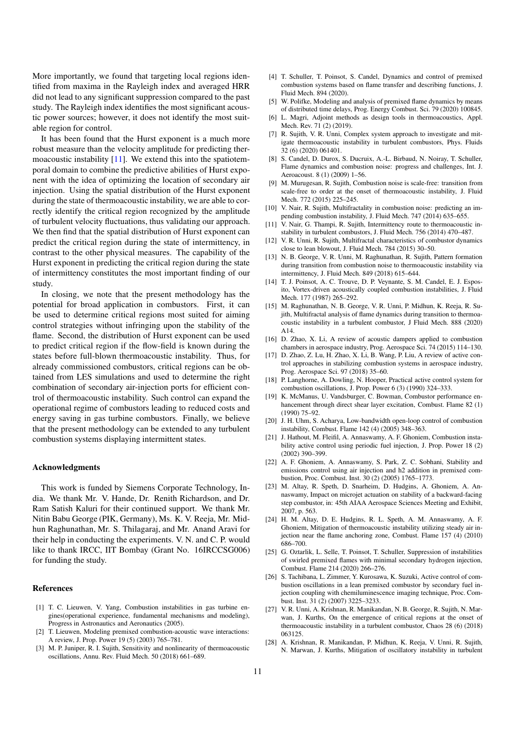More importantly, we found that targeting local regions identified from maxima in the Rayleigh index and averaged HRR did not lead to any significant suppression compared to the past study. The Rayleigh index identifies the most significant acoustic power sources; however, it does not identify the most suitable region for control.

It has been found that the Hurst exponent is a much more robust measure than the velocity amplitude for predicting thermoacoustic instability  $[11]$ . We extend this into the spatiotemporal domain to combine the predictive abilities of Hurst exponent with the idea of optimizing the location of secondary air injection. Using the spatial distribution of the Hurst exponent during the state of thermoacoustic instability, we are able to correctly identify the critical region recognized by the amplitude of turbulent velocity fluctuations, thus validating our approach. We then find that the spatial distribution of Hurst exponent can predict the critical region during the state of intermittency, in contrast to the other physical measures. The capability of the Hurst exponent in predicting the critical region during the state of intermittency constitutes the most important finding of our study.

In closing, we note that the present methodology has the potential for broad application in combustors. First, it can be used to determine critical regions most suited for aiming control strategies without infringing upon the stability of the flame. Second, the distribution of Hurst exponent can be used to predict critical region if the flow-field is known during the states before full-blown thermoacoustic instability. Thus, for already commissioned combustors, critical regions can be obtained from LES simulations and used to determine the right combination of secondary air-injection ports for efficient control of thermoacoustic instability. Such control can expand the operational regime of combustors leading to reduced costs and energy saving in gas turbine combustors. Finally, we believe that the present methodology can be extended to any turbulent combustion systems displaying intermittent states.

#### Acknowledgments

This work is funded by Siemens Corporate Technology, India. We thank Mr. V. Hande, Dr. Renith Richardson, and Dr. Ram Satish Kaluri for their continued support. We thank Mr. Nitin Babu George (PIK, Germany), Ms. K. V. Reeja, Mr. Midhun Raghunathan, Mr. S. Thilagaraj, and Mr. Anand Aravi for their help in conducting the experiments. V. N. and C. P. would like to thank IRCC, IIT Bombay (Grant No. 16IRCCSG006) for funding the study.

#### **References**

- [1] T. C. Lieuwen, V. Yang, Combustion instabilities in gas turbine engines(operational experience, fundamental mechanisms and modeling), Progress in Astronautics and Aeronautics (2005).
- [2] T. Lieuwen, Modeling premixed combustion-acoustic wave interactions: A review, J. Prop. Power 19 (5) (2003) 765–781.
- [3] M. P. Juniper, R. I. Sujith, Sensitivity and nonlinearity of thermoacoustic oscillations, Annu. Rev. Fluid Mech. 50 (2018) 661–689.
- [4] T. Schuller, T. Poinsot, S. Candel, Dynamics and control of premixed combustion systems based on flame transfer and describing functions, J. Fluid Mech. 894 (2020).
- [5] W. Polifke, Modeling and analysis of premixed flame dynamics by means of distributed time delays, Prog. Energy Combust. Sci. 79 (2020) 100845.
- [6] L. Magri, Adjoint methods as design tools in thermoacoustics, Appl. Mech. Rev. 71 (2) (2019).
- [7] R. Sujith, V. R. Unni, Complex system approach to investigate and mitigate thermoacoustic instability in turbulent combustors, Phys. Fluids 32 (6) (2020) 061401.
- [8] S. Candel, D. Durox, S. Ducruix, A.-L. Birbaud, N. Noiray, T. Schuller, Flame dynamics and combustion noise: progress and challenges, Int. J. Aeroacoust. 8 (1) (2009) 1–56.
- [9] M. Murugesan, R. Sujith, Combustion noise is scale-free: transition from scale-free to order at the onset of thermoacoustic instability, J. Fluid Mech. 772 (2015) 225–245.
- [10] V. Nair, R. Sujith, Multifractality in combustion noise: predicting an impending combustion instability, J. Fluid Mech. 747 (2014) 635–655.
- [11] V. Nair, G. Thampi, R. Sujith, Intermittency route to thermoacoustic instability in turbulent combustors, J. Fluid Mech. 756 (2014) 470–487.
- [12] V. R. Unni, R. Sujith, Multifractal characteristics of combustor dynamics close to lean blowout, J. Fluid Mech. 784 (2015) 30–50.
- [13] N. B. George, V. R. Unni, M. Raghunathan, R. Sujith, Pattern formation during transition from combustion noise to thermoacoustic instability via intermittency, J. Fluid Mech. 849 (2018) 615–644.
- [14] T. J. Poinsot, A. C. Trouve, D. P. Veynante, S. M. Candel, E. J. Esposito, Vortex-driven acoustically coupled combustion instabilities, J. Fluid Mech. 177 (1987) 265–292.
- [15] M. Raghunathan, N. B. George, V. R. Unni, P. Midhun, K. Reeja, R. Sujith, Multifractal analysis of flame dynamics during transition to thermoacoustic instability in a turbulent combustor, J Fluid Mech. 888 (2020) A14.
- [16] D. Zhao, X. Li, A review of acoustic dampers applied to combustion chambers in aerospace industry, Prog. Aerospace Sci. 74 (2015) 114–130.
- [17] D. Zhao, Z. Lu, H. Zhao, X. Li, B. Wang, P. Liu, A review of active control approaches in stabilizing combustion systems in aerospace industry, Prog. Aerospace Sci. 97 (2018) 35–60.
- [18] P. Langhorne, A. Dowling, N. Hooper, Practical active control system for combustion oscillations, J. Prop. Power 6 (3) (1990) 324–333.
- [19] K. McManus, U. Vandsburger, C. Bowman, Combustor performance enhancement through direct shear layer excitation, Combust. Flame 82 (1) (1990) 75–92.
- [20] J. H. Uhm, S. Acharya, Low-bandwidth open-loop control of combustion instability, Combust. Flame 142 (4) (2005) 348–363.
- [21] J. Hathout, M. Fleifil, A. Annaswamy, A. F. Ghoniem, Combustion instability active control using periodic fuel injection, J. Prop. Power 18 (2) (2002) 390–399.
- [22] A. F. Ghoniem, A. Annaswamy, S. Park, Z. C. Sobhani, Stability and emissions control using air injection and h2 addition in premixed combustion, Proc. Combust. Inst. 30 (2) (2005) 1765–1773.
- [23] M. Altay, R. Speth, D. Snarheim, D. Hudgins, A. Ghoniem, A. Annaswamy, Impact on microjet actuation on stability of a backward-facing step combustor, in: 45th AIAA Aerospace Sciences Meeting and Exhibit, 2007, p. 563.
- [24] H. M. Altay, D. E. Hudgins, R. L. Speth, A. M. Annaswamy, A. F. Ghoniem, Mitigation of thermoacoustic instability utilizing steady air injection near the flame anchoring zone, Combust. Flame 157 (4) (2010) 686–700.
- [25] G. Oztarlik, L. Selle, T. Poinsot, T. Schuller, Suppression of instabilities of swirled premixed flames with minimal secondary hydrogen injection, Combust. Flame 214 (2020) 266–276.
- [26] S. Tachibana, L. Zimmer, Y. Kurosawa, K. Suzuki, Active control of combustion oscillations in a lean premixed combustor by secondary fuel injection coupling with chemiluminescence imaging technique, Proc. Combust. Inst. 31 (2) (2007) 3225–3233.
- [27] V. R. Unni, A. Krishnan, R. Manikandan, N. B. George, R. Sujith, N. Marwan, J. Kurths, On the emergence of critical regions at the onset of thermoacoustic instability in a turbulent combustor, Chaos 28 (6) (2018) 063125.
- [28] A. Krishnan, R. Manikandan, P. Midhun, K. Reeja, V. Unni, R. Sujith, N. Marwan, J. Kurths, Mitigation of oscillatory instability in turbulent